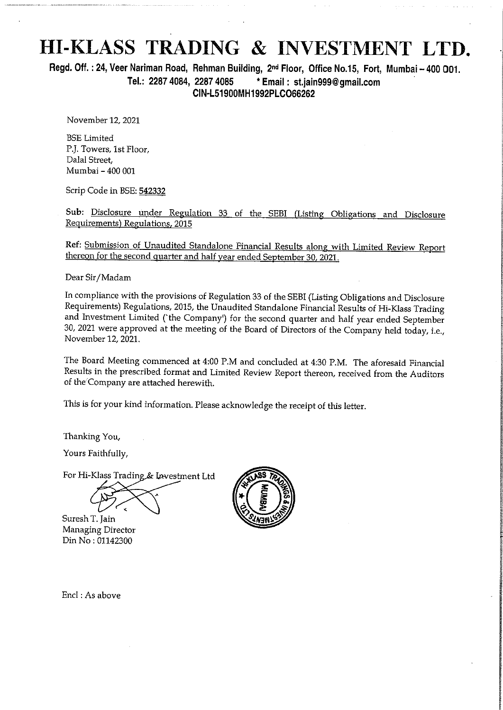# HI-KLASS TRADING & INVESTMENT LTD.

Regd. Off. : 24, Veer Nariman Road, Rehman Building, 2<sup>nd</sup> Floor, Office No.15, Fort, Mumbai - 400 001. Tel.: 2287 4084, 2287 4085 \*Email: stjain999@gmail.com CIN-L51900MH1992PLC066262

November 12, 2021

BSE Limited PJ. Towers, Ist Floor, Dalal Street, Mumbai - 400 001

Scrip Code in BSE: 542332

Sub: Disclosure under Regulation 33 of the SEBI (Listing Obligations and Disclosure Requirements) Regulations, 2015

Ref: Submission of Unaudited Standalone Financial Results along with Limited Review Report thereon for the second quarter and half year ended September 30, 2021.

Dear Sir/Madam

In compliance with the provisions of Regulation 33 of the SEBI (Listing Obligations and Disclosure Requirements) Regulations, 2015, the Unaudited Standalone Financial Results of Hi-Klass Trading and Investment Limited ('th

The Board Meeting commenced at 4:00 P.M and concluded at 4:30 P.M. The aforesaid Financial Results in the prescribed format and Limited Review Report thereon, received from the Auditors of the'Company are attached herewith.

This is for your kind information, Please acknowledge the receipt of this letter.

Thanking You,

Yours Faithfully,

Thanking You,<br>Yours Faithfully,<br>For Hi-Klass Trading

Suresh T. Jain Managing Director Din No: 01142300



Encl : As above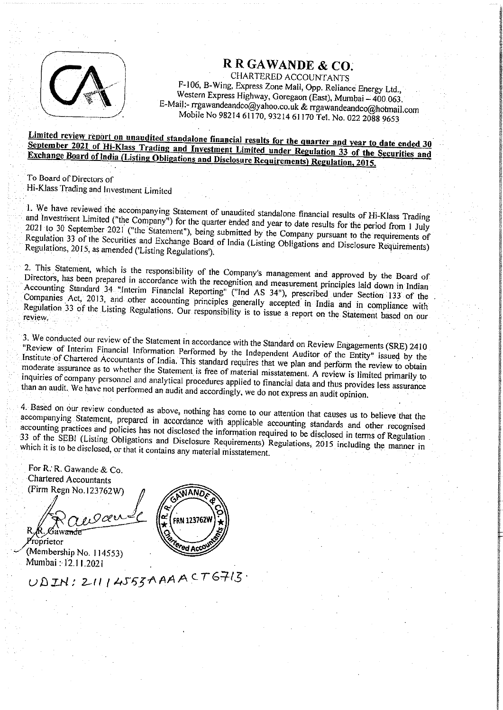

RRGAWANDE & CO.<br>CHARTERED ACCOUNTANTS<br>F-106, B-Wing, Express Zone Mall, Opp. Reliance Energy Ltd., Western Express Highway, Goregaon (East), Mumbai - 400 063.<br>E-Mail:- rrgawandeandco@yahoo.co.uk & rrgawandeandco@hotmail.com<br>Mobile No 98214 61170, 93214 61170 Tel. No. 022 2088 9653

## September 2021 of Hi-Klass Trading and Investment Limited under Regulation 33 of the Securities and<br>Exchange Board of India (Listing Obligations and Disclosure Requirements) Regulation, 2015. Limited review report on unaudited standalone financial results for the quarter and year to date ended 30 Exchange Board

To Board of Directors of Hi-Klass Trading and Investment Limited

and 1. We have reviewed the accompanying Statement of unaudited standalone financial results of Hi-Klass Trading Investment Limited ("the Company") for the quarter ended and year to date results for the period from 1 July<br>In 30 September 2021 ("the Statement"), but a statement of the period from 1 July 2021 to 30 September 2021 ("the Statement"), being submitted by the Company pursuant to the period from 1 July<br>Regulation 33 of the Securities and Exchange Board of India (Littles Oldinary pursuant to the requirements of Regulations, 2015, as amended ('Listing Regulations'). Regulation 33 of the Securities and Exchange Board of India (Listing Obligations and Disclosure Requirements)

Directors, 2. This Statement, atement, which is the responsibility of the Company's management and approved by the Board of Accounting Standard 34. "Interim Financial Reporting" ("Ind AS 34"), prescribed under Section 133 of the Companies Act 2013 and other prescribed under Section 133 of the Directors, has been prepared in accordance with the recognition and measurement principles laid down in Indian Companies Act, Companies Act, 2013, and other accounting principles generally accepted in India and in compliance with<br>Regulation 33 of the Listing Regulations Our responsibility is to issue the India and in compliance with review, of of the Listing Regulations. Our responsibility is to issue a report on the Statement based on our

3. 3. We conducted our review of the Statement in accordance with the Standard on Review Engagements (SRE) 2410<br>"Review of Interim Financial Information Performed by the Lab Institute of Chartered Accountants of India. This standard requires that we plan and perform the review to obtain<br>moderate assignance as to whather the limit of India. This standard requires that we plan and perform the re of Interim Financial Information Performed by the Independent Auditor of the Entity" issued by the<br>of Chartered Accountants of India This and The Independent Auditor of the Entity" issued by the moderate assurance as to whether the Statement is free of material misstatement. A review is limited primarily to<br>inquiries of company personnel and probability is the of material misstatement. A review is limited primaril inquiries of company than an audit. personnel and analytical procedures applied to financial data and thus provides less assurance We have not performed an audit and accordingly, we do not express an audit opinion.

4. Based on our review conducted as above, nothing has come to our attention that causes us to believe that the accompanying accompanying Statement, prepared in accordance with applicable accounting standards and other recognised<br>accounting practices and policies has not disclosed the informational accounting standards and other recognised 33 of the practices and policies has not disclosed the information required to be disclosed in terms of Regulation which it is SEB! SEBI (Listing Obligations and Disclosure Requirements) Regulations, 2015 including the manner in to be disclosed, or that it contains any material misstatement.

For R. R. Gawande & Co.<br>Chartered Accountants (Firm Regn No.123762W) o,9cer

 $UDIN: 21114555AAAACT6713$ 

Proprietor (Membership No. 114553)<br>Mumbai : 12.11.2021

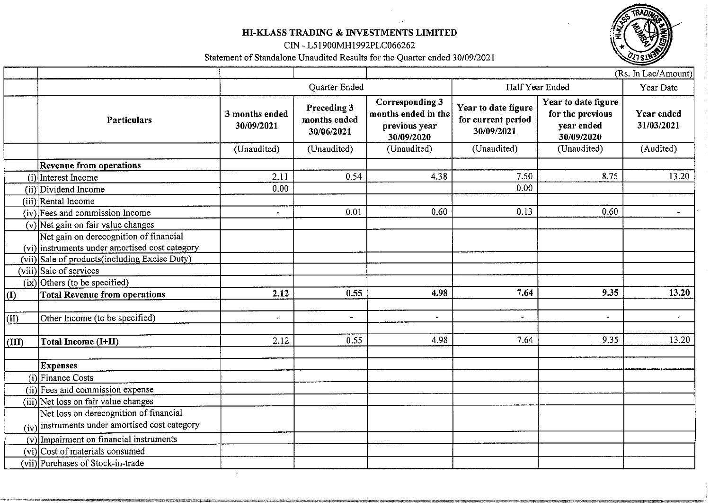## BI-KLASS TRADING & INVESTMENTS LIMITED

CIN - L51900MH1992PLC066262

Statement of Standalone Unaudited Results for the Quarter ended 30/09/2021

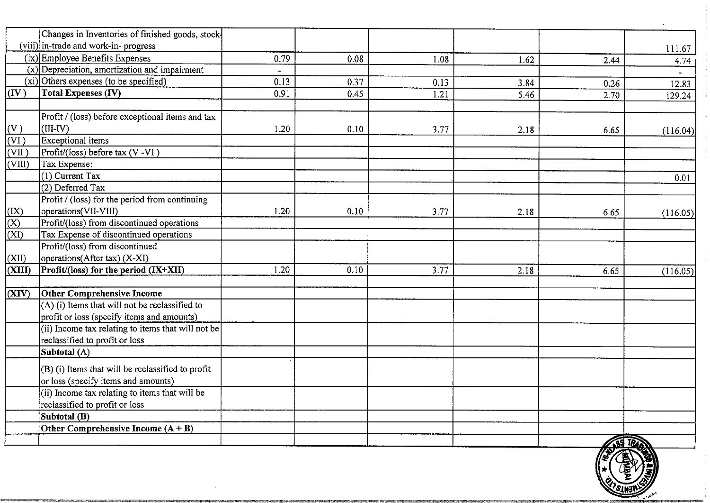|                                                                       | Changes in Inventories of finished goods, stock-                                             |                        |              |              |              |              |                 |
|-----------------------------------------------------------------------|----------------------------------------------------------------------------------------------|------------------------|--------------|--------------|--------------|--------------|-----------------|
|                                                                       | (viii) in-trade and work-in-progress<br>$(ix)$ Employee Benefits Expenses                    |                        |              |              |              |              | 111.67          |
|                                                                       | $(x)$ Depreciation, amortization and impairment                                              | 0.79<br>$\blacksquare$ | 0.08         | 1.08         | 1.62         | 2.44         | 4.74            |
| $(\mathbf{IV})$                                                       | $(xi)$ Others expenses (to be specified)<br><b>Total Expenses (IV)</b>                       | 0.13<br>0.91           | 0.37<br>0.45 | 0.13<br>1.21 | 3.84<br>5.46 | 0.26<br>2.70 | 12.83<br>129.24 |
|                                                                       | Profit / (loss) before exceptional items and tax                                             |                        |              |              |              |              |                 |
| $\frac{(V)}{(VI)}$                                                    | $(III-IV)$<br><b>Exceptional</b> items                                                       | 1.20                   | 0.10         | 3.77         | 2.18         | 6.65         | (116.04)        |
| (VII)<br>$\frac{\sqrt{11}}{\text{(VIII)}}$                            | Profit/(loss) before tax (V-VI)<br>Tax Expense:                                              |                        |              |              |              |              |                 |
|                                                                       | $(1)$ Current Tax<br>$(2)$ Deferred Tax                                                      |                        |              |              |              |              | 0.01            |
|                                                                       | Profit / (loss) for the period from continuing<br>operations(VII-VIII)                       | 1.20                   | 0.10         | 3.77         | 2.18         | 6.65         |                 |
| $\frac{(\text{IX})}{(\text{X})}$<br>$\frac{(\text{XI})}{(\text{XI})}$ | Profit/(loss) from discontinued operations<br>Tax Expense of discontinued operations         |                        |              |              |              |              | (116.05)        |
|                                                                       | Profit/(loss) from discontinued                                                              |                        |              |              |              |              |                 |
| $\frac{(\text{XII})}{(\text{XIII})}$                                  | operations(After tax) (X-XI)<br>Profit/(loss) for the period (IX+XII)                        | 1.20                   | 0.10         | 3.77         | 2.18         | 6.65         | (116.05)        |
| (XIV)                                                                 | Other Comprehensive Income                                                                   |                        |              |              |              |              |                 |
|                                                                       | (A) (i) Items that will not be reclassified to<br>profit or loss (specify items and amounts) |                        |              |              |              |              |                 |
|                                                                       | (ii) Income tax relating to items that will not be<br>reclassified to profit or loss         |                        |              |              |              |              |                 |
|                                                                       | Subtotal (A)                                                                                 |                        |              |              |              |              |                 |
|                                                                       | $(B)$ (i) Items that will be reclassified to profit<br>or loss (specify items and amounts)   |                        |              |              |              |              |                 |
|                                                                       | (ii) Income tax relating to items that will be<br>reclassified to profit or loss             |                        |              |              |              |              |                 |
|                                                                       | Subtotal (B)<br>Other Comprehensive Income $(A + B)$                                         |                        |              |              |              |              |                 |
|                                                                       |                                                                                              |                        |              |              |              |              |                 |

sorry producer received the control of the control

 $\pm$ 

SINS

 $\mathbb{Z}$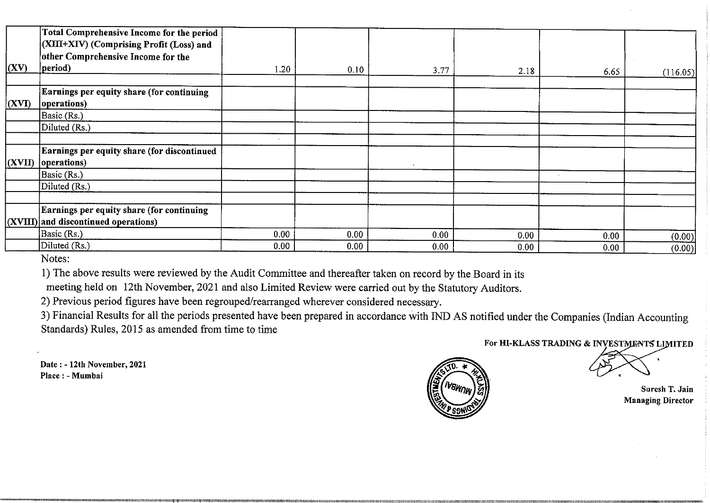| (XV)          | <b>Total Comprehensive Income for the period</b><br>(XIII+XIV) (Comprising Profit (Loss) and<br>other Comprehensive Income for the<br>period)                                                          |              |              |                           |               |                                            |                          |
|---------------|--------------------------------------------------------------------------------------------------------------------------------------------------------------------------------------------------------|--------------|--------------|---------------------------|---------------|--------------------------------------------|--------------------------|
|               | Earnings per equity share (for continuing                                                                                                                                                              | 1.20         | 0.10         | 3.77                      | 2.18          | 6.65                                       | (116.05)                 |
| $\vert$ (XVI) | operations)<br>$\text{Basic}(\text{Rs.})$<br>Diluted (Rs.)                                                                                                                                             |              |              |                           |               |                                            |                          |
|               | Earnings per equity share (for discontinued                                                                                                                                                            | $\cdot$      |              |                           |               |                                            |                          |
|               | $(XVII)$ [operations]<br>Basic (Rs.)<br>Diluted (Rs.)                                                                                                                                                  |              |              |                           |               | $\sim$                                     |                          |
|               | Earnings per equity share (for continuing                                                                                                                                                              |              |              |                           |               |                                            |                          |
|               | $\vert$ (XVIII) and discontinued operations)<br>Basic (Rs.)<br>Diluted (Rs.)                                                                                                                           | 0.00<br>0.00 | 0.00<br>0.00 | 0.00<br>0.00 <sub>1</sub> | 0.00<br>0.00  | 0.00 <sub>1</sub><br>0.00 <sub>1</sub>     | (0.00)<br>(0.00)         |
|               | Notes:<br>1) The above results were reviewed by the Audit Committee and thereafter taken on record by the Board in its                                                                                 |              |              |                           |               |                                            |                          |
|               | meeting held on 12th November, 2021 and also Limited Review were carried out by the Statutory Auditors.<br>2) Previous period figures have been regrouped/rearranged wherever considered necessary.    |              |              |                           |               |                                            |                          |
|               | 3) Financial Results for all the periods presented have been prepared in accordance with IND AS notified under the Companies (Indian Accounting<br>Standards) Rules, 2015 as amended from time to time |              |              |                           |               |                                            |                          |
|               | Date: - 12th November, 2021                                                                                                                                                                            |              |              |                           |               | For HI-KLASS TRADING & INVESTMENTS LIMITED |                          |
|               | Place : - Mumbai                                                                                                                                                                                       |              |              |                           | <b>IVBWNW</b> |                                            | Suresh T. Jain           |
|               |                                                                                                                                                                                                        |              |              |                           |               |                                            | <b>Managing Director</b> |
|               |                                                                                                                                                                                                        |              |              |                           |               |                                            |                          |
|               |                                                                                                                                                                                                        |              |              |                           |               |                                            |                          |
|               |                                                                                                                                                                                                        |              |              |                           |               |                                            |                          |

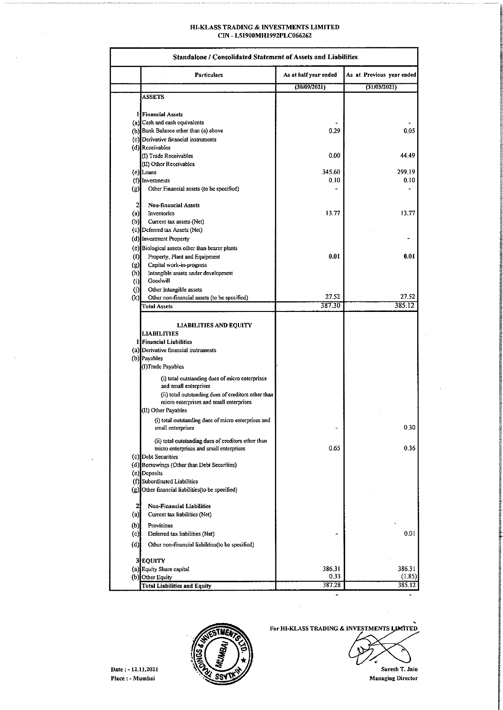# HI-KLASS TRADING & INVESTMENTS LIMITED CIN - L51900MH1992PLC066262 HI-KLASS TRADING & I<br>CIN - L51900MI<br>CIN - L51900MI

.<br>המוקדם היה למונים להינו מוקשים שקשועים שישובים בשנים בבינו למשפטים לכם משפטים בשנים שישובים מולכם משפטים למוני

|                         | HI-KLASS TRADING & INVESTMENTS LIMITED                                                         |                                       |                                           |
|-------------------------|------------------------------------------------------------------------------------------------|---------------------------------------|-------------------------------------------|
|                         | CIN-L51900MH1992PLC066262                                                                      |                                       |                                           |
|                         | <b>Standalone / Consolidated Statement of Assets and Liabilities</b>                           |                                       |                                           |
|                         | <b>Particulars</b>                                                                             | As at half year ended<br>(30/09/2021) | As at Previous year ended<br>(31/03/2021) |
|                         | ASSETS                                                                                         |                                       |                                           |
|                         | <b>If Financial Assets</b>                                                                     |                                       |                                           |
|                         | (a) Cash and cash equivalents<br>(b) Bank Balance other than (a) above                         | 0.29                                  | 0.05                                      |
| $\left( c\right)$       | Derivative financial instruments                                                               |                                       |                                           |
|                         | (d) Receivables<br>(I) Trade Receivables                                                       | 0.00                                  | 44.49                                     |
|                         | (II) Other Receivables                                                                         |                                       |                                           |
|                         | (e) Loans                                                                                      | 345.60                                | 299.19                                    |
| $\left( g\right)$       | (f) Investments<br>Other Financial assets (to be specified)                                    | 0.10                                  | 0.10                                      |
| $\mathbf{z}$            | Non-financial Assets                                                                           |                                       |                                           |
| (a)                     | Inventories                                                                                    | 13.77                                 | 13.77                                     |
| (b)                     | Current tax assets (Net)<br>(c) Deferred tax Assets (Net)                                      |                                       |                                           |
|                         | (d) Investment Property                                                                        |                                       |                                           |
|                         | (e) Biological assets other than bearer plants                                                 |                                       |                                           |
| (f)<br>(g)              | Property, Plant and Equipment<br>Capital work-in-progress                                      | 0.01                                  | 0.01                                      |
| (h)                     | Intangible assets under development                                                            |                                       |                                           |
| (i)                     | Goodwill<br>Other Intangible assets                                                            |                                       |                                           |
| (j)<br>(k)              | Other non-financial assets (to be specified)                                                   | 27.52                                 | 27,52                                     |
|                         | <b>Total Assets</b>                                                                            | 387.30                                | 385.12                                    |
|                         | <b>LIABILITIES AND EQUITY</b>                                                                  |                                       |                                           |
|                         | <b>LIABILITIES</b>                                                                             |                                       |                                           |
|                         | 1 Financial Liabilities<br>(a) Derivative financial instruments                                |                                       |                                           |
|                         | (b) Payables                                                                                   |                                       |                                           |
|                         | (I)Trade Payables                                                                              |                                       |                                           |
|                         | (i) total outstanding dues of micro enterprises<br>and small enterprises                       |                                       |                                           |
|                         | (ii) total outstanding dues of creditors other than                                            |                                       |                                           |
|                         | micro enterprises and small enterprises<br>(II) Other Payables                                 |                                       |                                           |
|                         | (i) total outstanding dues of micro enterprises and                                            |                                       |                                           |
|                         | small enterprises                                                                              |                                       | 0.30                                      |
|                         | (ii) total outstanding dues of creditors other than<br>micro enterprises and small enterprises | 0.65                                  | 0.36                                      |
|                         | (c) Debt Securities                                                                            |                                       |                                           |
|                         | (d) Borrowings (Other than Debt Securities)                                                    |                                       |                                           |
|                         | (e) Deposits<br>(f) Subordinated Liabilities                                                   |                                       |                                           |
|                         |                                                                                                |                                       |                                           |
|                         | (g) Other financial liabilities (to be specified)                                              |                                       |                                           |
| 2                       | <b>Non-Financial Liabilities</b>                                                               |                                       |                                           |
| $\left( \alpha \right)$ | Current tax liabilities (Net)                                                                  |                                       |                                           |
| (b)                     | Provisions                                                                                     |                                       |                                           |
| (c)<br>(d)              | Deferred tax liabilities (Net)<br>Other non-financial liabilities(to be specified)             |                                       | 0.01                                      |
|                         |                                                                                                |                                       |                                           |
|                         | 3 EQUITY                                                                                       | 386.31                                |                                           |
|                         | (a) Equity Share capital<br>(b) Other Equity<br><b>Total Liabilities and Equity</b>            | 0.33<br>387.28                        | 386.31<br>(1.85)<br>385.12                |



For HI-KLASS TRADING & INVESTMENTS LIMITED

 $\bar{z}$ 



Managing Director

L